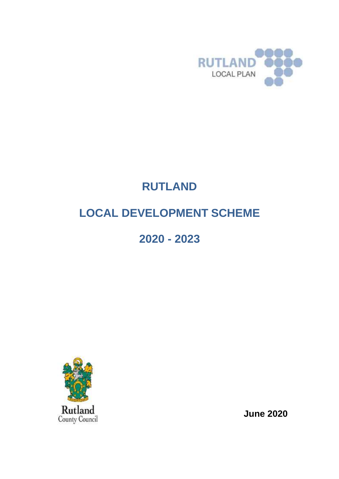

# **RUTLAND LOCAL DEVELOPMENT SCHEME**

## **2020 - 2023**



**June 2020**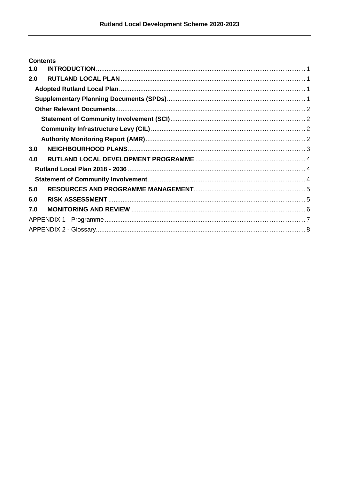|     | <b>Contents</b> |  |
|-----|-----------------|--|
| 1.0 |                 |  |
| 2.0 |                 |  |
|     |                 |  |
|     |                 |  |
|     |                 |  |
|     |                 |  |
|     |                 |  |
|     |                 |  |
| 3.0 |                 |  |
| 4.0 |                 |  |
|     |                 |  |
|     |                 |  |
| 5.0 |                 |  |
| 6.0 |                 |  |
| 7.0 |                 |  |
|     |                 |  |
|     |                 |  |
|     |                 |  |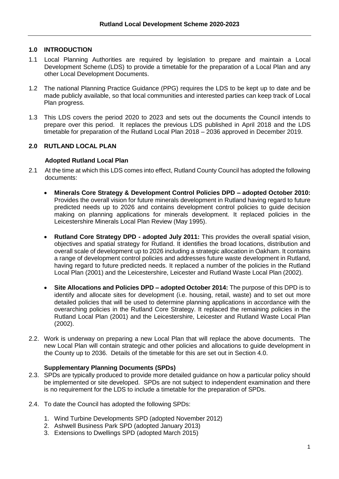#### <span id="page-2-0"></span>**1.0 INTRODUCTION**

- 1.1 Local Planning Authorities are required by legislation to prepare and maintain a Local Development Scheme (LDS) to provide a timetable for the preparation of a Local Plan and any other Local Development Documents.
- 1.2 The national Planning Practice Guidance (PPG) requires the LDS to be kept up to date and be made publicly available, so that local communities and interested parties can keep track of Local Plan progress.
- 1.3 This LDS covers the period 2020 to 2023 and sets out the documents the Council intends to prepare over this period. It replaces the previous LDS published in April 2018 and the LDS timetable for preparation of the Rutland Local Plan 2018 – 2036 approved in December 2019.

#### <span id="page-2-1"></span>**2.0 RUTLAND LOCAL PLAN**

#### <span id="page-2-2"></span>**Adopted Rutland Local Plan**

- 2.1 At the time at which this LDS comes into effect, Rutland County Council has adopted the following documents:
	- **Minerals Core Strategy & Development Control Policies DPD – adopted October 2010:**  Provides the overall vision for future minerals development in Rutland having regard to future predicted needs up to 2026 and contains development control policies to guide decision making on planning applications for minerals development. It replaced policies in the Leicestershire Minerals Local Plan Review (May 1995).
	- **Rutland Core Strategy DPD - adopted July 2011:** This provides the overall spatial vision, objectives and spatial strategy for Rutland. It identifies the broad locations, distribution and overall scale of development up to 2026 including a strategic allocation in Oakham. It contains a range of development control policies and addresses future waste development in Rutland, having regard to future predicted needs. It replaced a number of the policies in the Rutland Local Plan (2001) and the Leicestershire, Leicester and Rutland Waste Local Plan (2002).
	- **Site Allocations and Policies DPD – adopted October 2014:** The purpose of this DPD is to identify and allocate sites for development (i.e. housing, retail, waste) and to set out more detailed policies that will be used to determine planning applications in accordance with the overarching policies in the Rutland Core Strategy. It replaced the remaining policies in the Rutland Local Plan (2001) and the Leicestershire, Leicester and Rutland Waste Local Plan (2002).
- 2.2. Work is underway on preparing a new Local Plan that will replace the above documents. The new Local Plan will contain strategic and other policies and allocations to guide development in the County up to 2036. Details of the timetable for this are set out in Section 4.0.

#### **Supplementary Planning Documents (SPDs)**

- <span id="page-2-3"></span>2.3. SPDs are typically produced to provide more detailed guidance on how a particular policy should be implemented or site developed. SPDs are not subject to independent examination and there is no requirement for the LDS to include a timetable for the preparation of SPDs.
- 2.4. To date the Council has adopted the following SPDs:
	- 1. Wind Turbine Developments SPD (adopted November 2012)
	- 2. Ashwell Business Park SPD (adopted January 2013)
	- 3. Extensions to Dwellings SPD (adopted March 2015)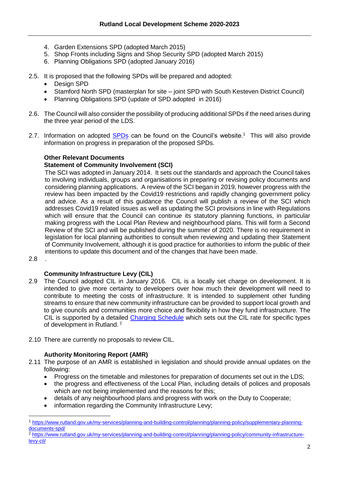- 4. Garden Extensions SPD (adopted March 2015)
- 5. Shop Fronts including Signs and Shop Security SPD (adopted March 2015)
- 6. Planning Obligations SPD (adopted January 2016)
- 2.5. It is proposed that the following SPDs will be prepared and adopted:
	- Design SPD
	- Stamford North SPD (masterplan for site joint SPD with South Kesteven District Council)
	- Planning Obligations SPD (update of SPD adopted in 2016)
- 2.6. The Council will also consider the possibility of producing additional SPDs if the need arises during the three year period of the LDS.
- 2.7. Information on adopted [SPDs](https://www.rutland.gov.uk/my-services/planning-and-building-control/planning/planning-policy/supplementary-planning-documents-spd/) can be found on the Council's website.<sup>1</sup> This will also provide information on progress in preparation of the proposed SPDs.

#### <span id="page-3-0"></span>**Other Relevant Documents**

#### <span id="page-3-1"></span>**Statement of Community Involvement (SCI)**

The SCI was adopted in January 2014. It sets out the standards and approach the Council takes to involving individuals, groups and organisations in preparing or revising policy documents and considering planning applications. A review of the SCI began in 2019, however progress with the review has been impacted by the Covid19 restrictions and rapidly changing government policy and advice. As a result of this guidance the Council will publish a review of the SCI which addresses Covid19 related issues as well as updating the SCI provisions in line with Regulations which will ensure that the Council can continue its statutory planning functions, in particular making progress with the Local Plan Review and neighbourhood plans. This will form a Second Review of the SCI and will be published during the summer of 2020. There is no requirement in legislation for local planning authorities to consult when reviewing and updating their Statement of Community Involvement, although it is good practice for authorities to inform the public of their intentions to update this document and of the changes that have been made.

2.8 .

#### **Community Infrastructure Levy (CIL)**

- <span id="page-3-2"></span>2.9 The Council adopted CIL in January 2016. CIL is a locally set charge on development. It is intended to give more certainty to developers over how much their development will need to contribute to meeting the costs of infrastructure. It is intended to supplement other funding streams to ensure that new community infrastructure can be provided to support local growth and to give councils and communities more choice and flexibility in how they fund infrastructure. The CIL is supported by a detailed [Charging Schedule](https://www.rutland.gov.uk/my-services/planning-and-building-control/planning/planning-policy/community-infrastructure-levy-cil/) which sets out the CIL rate for specific types of development in Rutland.<sup>2</sup>
- 2.10 There are currently no proposals to review CIL.

#### **Authority Monitoring Report (AMR)**

- <span id="page-3-3"></span>2.11 The purpose of an AMR is established in legislation and should provide annual updates on the following:
	- Progress on the timetable and milestones for preparation of documents set out in the LDS;
	- the progress and effectiveness of the Local Plan, including details of polices and proposals which are not being implemented and the reasons for this;
	- details of any neighbourhood plans and progress with work on the Duty to Cooperate;
	- information regarding the Community Infrastructure Levy;

<sup>1</sup> [https://www.rutland.gov.uk/my-services/planning-and-building-control/planning/planning-policy/supplementary-planning](https://www.rutland.gov.uk/my-services/planning-and-building-control/planning/planning-policy/supplementary-planning-documents-spd/)[documents-spd/](https://www.rutland.gov.uk/my-services/planning-and-building-control/planning/planning-policy/supplementary-planning-documents-spd/)

<sup>2</sup> [https://www.rutland.gov.uk/my-services/planning-and-building-control/planning/planning-policy/community-infrastructure](https://www.rutland.gov.uk/my-services/planning-and-building-control/planning/planning-policy/community-infrastructure-levy-cil/)[levy-cil/](https://www.rutland.gov.uk/my-services/planning-and-building-control/planning/planning-policy/community-infrastructure-levy-cil/)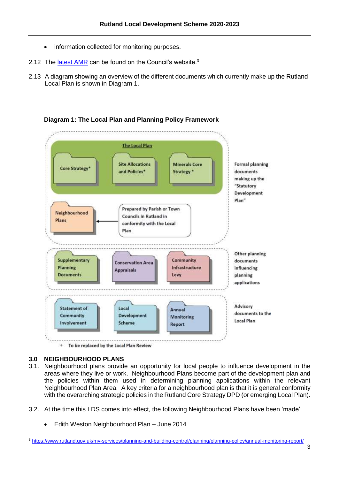- information collected for monitoring purposes.
- 2.12 The [latest AMR](https://www.rutland.gov.uk/my-services/planning-and-building-control/planning/planning-policy/annual-monitoring-report/) can be found on the Council's website.<sup>3</sup>
- 2.13 A diagram showing an overview of the different documents which currently make up the Rutland Local Plan is shown in Diagram 1.



#### **Diagram 1: The Local Plan and Planning Policy Framework**

To be replaced by the Local Plan Review  $\pm$ 

#### <span id="page-4-0"></span>**3.0 NEIGHBOURHOOD PLANS**

 $\overline{a}$ 

- 3.1. Neighbourhood plans provide an opportunity for local people to influence development in the areas where they live or work. Neighbourhood Plans become part of the development plan and the policies within them used in determining planning applications within the relevant Neighbourhood Plan Area. A key criteria for a neighbourhood plan is that it is general conformity with the overarching strategic policies in the Rutland Core Strategy DPD (or emerging Local Plan).
- 3.2. At the time this LDS comes into effect, the following Neighbourhood Plans have been 'made':
	- Edith Weston Neighbourhood Plan June 2014

<sup>3</sup> <https://www.rutland.gov.uk/my-services/planning-and-building-control/planning/planning-policy/annual-monitoring-report/>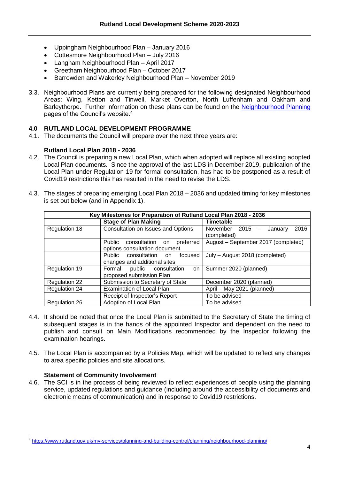- Uppingham Neighbourhood Plan January 2016
- Cottesmore Neighbourhood Plan July 2016
- Langham Neighbourhood Plan April 2017
- Greetham Neighbourhood Plan October 2017
- Barrowden and Wakerley Neighbourhood Plan November 2019
- 3.3. Neighbourhood Plans are currently being prepared for the following designated Neighbourhood Areas: Wing, Ketton and Tinwell, Market Overton, North Luffenham and Oakham and Barleythorpe. Further information on these plans can be found on the [Neighbourhood Planning](https://www.rutland.gov.uk/my-services/planning-and-building-control/planning/neighbourhood-planning/) pages of the Council's website.<sup>4</sup>

#### <span id="page-5-0"></span>**4.0 RUTLAND LOCAL DEVELOPMENT PROGRAMME**

4.1. The documents the Council will prepare over the next three years are:

#### **Rutland Local Plan 2018 - 2036**

- <span id="page-5-1"></span>4.2. The Council is preparing a new Local Plan, which when adopted will replace all existing adopted Local Plan documents. Since the approval of the last LDS in December 2019, publication of the Local Plan under Regulation 19 for formal consultation, has had to be postponed as a result of Covid19 restrictions this has resulted in the need to revise the LDS.
- 4.3. The stages of preparing emerging Local Plan 2018 2036 and updated timing for key milestones is set out below (and in Appendix 1).

|                      | Key Milestones for Preparation of Rutland Local Plan 2018 - 2036     |                                                             |  |  |  |  |  |  |  |  |
|----------------------|----------------------------------------------------------------------|-------------------------------------------------------------|--|--|--|--|--|--|--|--|
|                      | <b>Stage of Plan Making</b>                                          | <b>Timetable</b>                                            |  |  |  |  |  |  |  |  |
| Regulation 18        | Consultation on Issues and Options                                   | 2016<br>November 2015<br>January<br>$\equiv$<br>(completed) |  |  |  |  |  |  |  |  |
|                      | Public consultation on<br>preferred<br>options consultation document | August - September 2017 (completed)                         |  |  |  |  |  |  |  |  |
|                      | Public consultation on<br>focused<br>changes and additional sites    | July - August 2018 (completed)                              |  |  |  |  |  |  |  |  |
| Regulation 19        | public consultation<br>Formal<br>on<br>proposed submission Plan      | Summer 2020 (planned)                                       |  |  |  |  |  |  |  |  |
| <b>Regulation 22</b> | Submission to Secretary of State                                     | December 2020 (planned)                                     |  |  |  |  |  |  |  |  |
| <b>Regulation 24</b> | <b>Examination of Local Plan</b>                                     | April - May 2021 (planned)                                  |  |  |  |  |  |  |  |  |
|                      | Receipt of Inspector's Report                                        | To be advised                                               |  |  |  |  |  |  |  |  |
| Regulation 26        | Adoption of Local Plan                                               | To be advised                                               |  |  |  |  |  |  |  |  |

- 4.4. It should be noted that once the Local Plan is submitted to the Secretary of State the timing of subsequent stages is in the hands of the appointed Inspector and dependent on the need to publish and consult on Main Modifications recommended by the Inspector following the examination hearings.
- 4.5. The Local Plan is accompanied by a Policies Map, which will be updated to reflect any changes to area specific policies and site allocations.

#### **Statement of Community Involvement**

 $\overline{a}$ 

<span id="page-5-2"></span>4.6. The SCI is in the process of being reviewed to reflect experiences of people using the planning service, updated regulations and guidance (including around the accessibility of documents and electronic means of communication) and in response to Covid19 restrictions.

<sup>4</sup> <https://www.rutland.gov.uk/my-services/planning-and-building-control/planning/neighbourhood-planning/>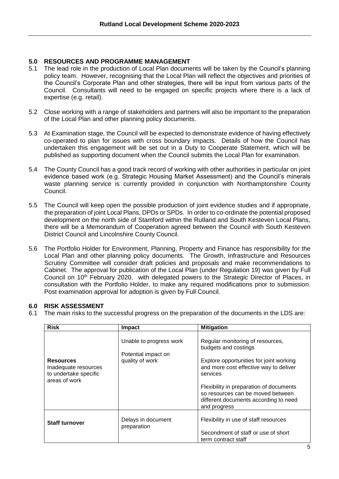#### <span id="page-6-0"></span>**5.0 RESOURCES AND PROGRAMME MANAGEMENT**

- 5.1 The lead role in the production of Local Plan documents will be taken by the Council's planning policy team. However, recognising that the Local Plan will reflect the objectives and priorities of the Council's Corporate Plan and other strategies, there will be input from various parts of the Council. Consultants will need to be engaged on specific projects where there is a lack of expertise (e.g. retail).
- 5.2 Close working with a range of stakeholders and partners will also be important to the preparation of the Local Plan and other planning policy documents.
- 5.3 At Examination stage, the Council will be expected to demonstrate evidence of having effectively co-operated to plan for issues with cross boundary impacts. Details of how the Council has undertaken this engagement will be set out in a Duty to Cooperate Statement, which will be published as supporting document when the Council submits the Local Plan for examination.
- 5.4 The County Council has a good track record of working with other authorities in particular on joint evidence based work (e.g. Strategic Housing Market Assessment) and the Council's minerals waste planning service is currently provided in conjunction with Northamptonshire County Council.
- 5.5 The Council will keep open the possible production of joint evidence studies and if appropriate, the preparation of joint Local Plans, DPDs or SPDs. In order to co-ordinate the potential proposed development on the north side of Stamford within the Rutland and South Kesteven Local Plans, there will be a Memorandum of Cooperation agreed between the Council with South Kesteven District Council and Lincolnshire County Council.
- 5.6 The Portfolio Holder for Environment, Planning, Property and Finance has responsibility for the Local Plan and other planning policy documents. The Growth, Infrastructure and Resources Scrutiny Committee will consider draft policies and proposals and make recommendations to Cabinet. The approval for publication of the Local Plan (under Regulation 19) was given by Full Council on 10<sup>th</sup> February 2020, with delegated powers to the Strategic Director of Places, in consultation with the Portfolio Holder, to make any required modifications prior to submission. Post examination approval for adoption is given by Full Council.

#### <span id="page-6-1"></span>**6.0 RISK ASSESSMENT**

6.1 The main risks to the successful progress on the preparation of the documents in the LDS are:

| <b>Risk</b>                                                                        | Impact                                                            | <b>Mitigation</b>                                                                                                                                                                                                                                                                                  |
|------------------------------------------------------------------------------------|-------------------------------------------------------------------|----------------------------------------------------------------------------------------------------------------------------------------------------------------------------------------------------------------------------------------------------------------------------------------------------|
| <b>Resources</b><br>Inadequate resources<br>to undertake specific<br>areas of work | Unable to progress work<br>Potential impact on<br>quality of work | Regular monitoring of resources,<br>budgets and costings<br>Explore opportunities for joint working<br>and more cost effective way to deliver<br>services<br>Flexibility in preparation of documents<br>so resources can be moved between<br>different documents according to need<br>and progress |
| <b>Staff turnover</b>                                                              | Delays in document<br>preparation                                 | Flexibility in use of staff resources<br>Secondment of staff or use of short<br>term contract staff                                                                                                                                                                                                |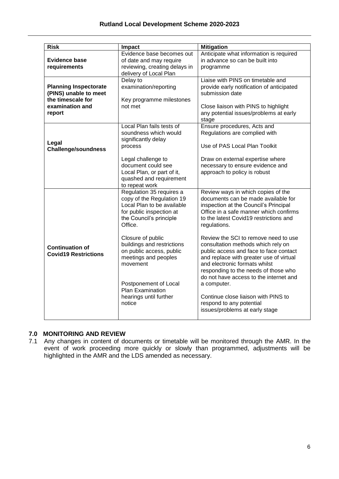| <b>Risk</b>                                                                                             | <b>Impact</b>                                                                                                                                                                                                                                                                                                                                             | <b>Mitigation</b>                                                                                                                                                                                                                                                                                                                                                                                                                                                                                                                                                                                                                |
|---------------------------------------------------------------------------------------------------------|-----------------------------------------------------------------------------------------------------------------------------------------------------------------------------------------------------------------------------------------------------------------------------------------------------------------------------------------------------------|----------------------------------------------------------------------------------------------------------------------------------------------------------------------------------------------------------------------------------------------------------------------------------------------------------------------------------------------------------------------------------------------------------------------------------------------------------------------------------------------------------------------------------------------------------------------------------------------------------------------------------|
| <b>Evidence base</b><br>requirements                                                                    | Evidence base becomes out<br>of date and may require<br>reviewing, creating delays in<br>delivery of Local Plan                                                                                                                                                                                                                                           | Anticipate what information is required<br>in advance so can be built into<br>programme                                                                                                                                                                                                                                                                                                                                                                                                                                                                                                                                          |
| <b>Planning Inspectorate</b><br>(PINS) unable to meet<br>the timescale for<br>examination and<br>report | Delay to<br>examination/reporting<br>Key programme milestones<br>not met                                                                                                                                                                                                                                                                                  | Liaise with PINS on timetable and<br>provide early notification of anticipated<br>submission date<br>Close liaison with PINS to highlight<br>any potential issues/problems at early<br>stage                                                                                                                                                                                                                                                                                                                                                                                                                                     |
| Legal<br><b>Challenge/soundness</b>                                                                     | Local Plan fails tests of<br>soundness which would<br>significantly delay<br>process<br>Legal challenge to<br>document could see<br>Local Plan, or part of it,<br>quashed and requirement<br>to repeat work                                                                                                                                               | Ensure procedures, Acts and<br>Regulations are complied with<br>Use of PAS Local Plan Toolkit<br>Draw on external expertise where<br>necessary to ensure evidence and<br>approach to policy is robust                                                                                                                                                                                                                                                                                                                                                                                                                            |
| <b>Continuation of</b><br><b>Covid19 Restrictions</b>                                                   | Regulation 35 requires a<br>copy of the Regulation 19<br>Local Plan to be available<br>for public inspection at<br>the Council's principle<br>Office.<br>Closure of public<br>buildings and restrictions<br>on public access, public<br>meetings and peoples<br>movement<br>Postponement of Local<br>Plan Examination<br>hearings until further<br>notice | Review ways in which copies of the<br>documents can be made available for<br>inspection at the Council's Principal<br>Office in a safe manner which confirms<br>to the latest Covid19 restrictions and<br>regulations.<br>Review the SCI to remove need to use<br>consultation methods which rely on<br>public access and face to face contact<br>and replace with greater use of virtual<br>and electronic formats whilst<br>responding to the needs of those who<br>do not have access to the internet and<br>a computer.<br>Continue close liaison with PINS to<br>respond to any potential<br>issues/problems at early stage |

#### <span id="page-7-0"></span>**7.0 MONITORING AND REVIEW**

7.1 Any changes in content of documents or timetable will be monitored through the AMR. In the event of work proceeding more quickly or slowly than programmed, adjustments will be highlighted in the AMR and the LDS amended as necessary.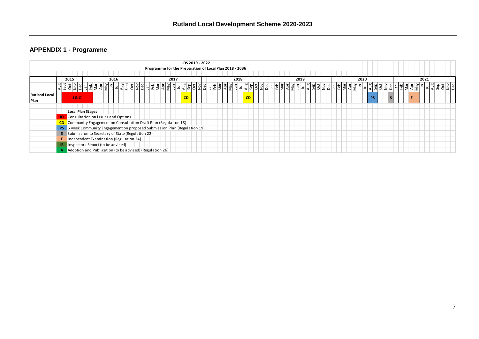#### **APPENDIX 1 - Programme**

<span id="page-8-0"></span>

|                              |                                                                                                                                                            |                                                    |                                                          |  |  |  |  |   |               |      |     | Programme for the Preparation of Local Plan 2018 - 2036 |  |          |  |  |                | LDS 2019 - 2022 |       |  |    |  |    |  |         |   |    |  |    |      |  |  |  |                   |  |  |  |  |       |  |  |  |            |  |  |    |  |      |          |  |  |  |         |  |  |  |  |  |
|------------------------------|------------------------------------------------------------------------------------------------------------------------------------------------------------|----------------------------------------------------|----------------------------------------------------------|--|--|--|--|---|---------------|------|-----|---------------------------------------------------------|--|----------|--|--|----------------|-----------------|-------|--|----|--|----|--|---------|---|----|--|----|------|--|--|--|-------------------|--|--|--|--|-------|--|--|--|------------|--|--|----|--|------|----------|--|--|--|---------|--|--|--|--|--|
|                              |                                                                                                                                                            |                                                    |                                                          |  |  |  |  |   |               |      |     |                                                         |  |          |  |  |                |                 |       |  |    |  |    |  |         |   |    |  |    |      |  |  |  |                   |  |  |  |  |       |  |  |  |            |  |  |    |  |      |          |  |  |  |         |  |  |  |  |  |
|                              | 2015<br>2016                                                                                                                                               |                                                    |                                                          |  |  |  |  |   |               | 2017 |     |                                                         |  |          |  |  |                | 2018            |       |  |    |  |    |  |         |   |    |  |    | 2019 |  |  |  |                   |  |  |  |  | 2020  |  |  |  |            |  |  |    |  | 2021 |          |  |  |  |         |  |  |  |  |  |
|                              |                                                                                                                                                            | 위<br>은 !                                           |                                                          |  |  |  |  | ൳ | $\frac{1}{2}$ |      | 원회의 |                                                         |  | - 1 읿임히위 |  |  | $\overline{p}$ |                 | [회회의회 |  | 회회 |  | Ξì |  | ്<br>ЭI | 흐 |    |  | 원립 | ΞI.  |  |  |  | <u> 리칠웨임팅밁릴뛰림</u> |  |  |  |  | क्ष ब |  |  |  | !빌킈칣엛읾힝別割. |  |  |    |  |      | [집[원]리크] |  |  |  | ျချချချ |  |  |  |  |  |
| <b>Rutland Local</b><br>Plan |                                                                                                                                                            |                                                    | 180                                                      |  |  |  |  |   |               |      |     |                                                         |  |          |  |  |                | CD              |       |  |    |  |    |  |         |   | CD |  |    |      |  |  |  |                   |  |  |  |  |       |  |  |  |            |  |  | PS |  |      |          |  |  |  |         |  |  |  |  |  |
|                              |                                                                                                                                                            |                                                    |                                                          |  |  |  |  |   |               |      |     |                                                         |  |          |  |  |                |                 |       |  |    |  |    |  |         |   |    |  |    |      |  |  |  |                   |  |  |  |  |       |  |  |  |            |  |  |    |  |      |          |  |  |  |         |  |  |  |  |  |
|                              | <b>Local Plan Stages</b>                                                                                                                                   |                                                    |                                                          |  |  |  |  |   |               |      |     |                                                         |  |          |  |  |                |                 |       |  |    |  |    |  |         |   |    |  |    |      |  |  |  |                   |  |  |  |  |       |  |  |  |            |  |  |    |  |      |          |  |  |  |         |  |  |  |  |  |
|                              |                                                                                                                                                            |                                                    | Consultation on issues and Options                       |  |  |  |  |   |               |      |     |                                                         |  |          |  |  |                |                 |       |  |    |  |    |  |         |   |    |  |    |      |  |  |  |                   |  |  |  |  |       |  |  |  |            |  |  |    |  |      |          |  |  |  |         |  |  |  |  |  |
|                              |                                                                                                                                                            |                                                    |                                                          |  |  |  |  |   |               |      |     |                                                         |  |          |  |  |                |                 |       |  |    |  |    |  |         |   |    |  |    |      |  |  |  |                   |  |  |  |  |       |  |  |  |            |  |  |    |  |      |          |  |  |  |         |  |  |  |  |  |
|                              | CD Community Engagement on Consultation Draft Plan (Regulation 18)<br>6 week Community Engagement on proposed Submission Plan (Regulation 19)<br><b>PS</b> |                                                    |                                                          |  |  |  |  |   |               |      |     |                                                         |  |          |  |  |                |                 |       |  |    |  |    |  |         |   |    |  |    |      |  |  |  |                   |  |  |  |  |       |  |  |  |            |  |  |    |  |      |          |  |  |  |         |  |  |  |  |  |
|                              |                                                                                                                                                            | S Submission to Secretary of State (Regulation 22) |                                                          |  |  |  |  |   |               |      |     |                                                         |  |          |  |  |                |                 |       |  |    |  |    |  |         |   |    |  |    |      |  |  |  |                   |  |  |  |  |       |  |  |  |            |  |  |    |  |      |          |  |  |  |         |  |  |  |  |  |
|                              | Independent Examination (Regulation 24)                                                                                                                    |                                                    |                                                          |  |  |  |  |   |               |      |     |                                                         |  |          |  |  |                |                 |       |  |    |  |    |  |         |   |    |  |    |      |  |  |  |                   |  |  |  |  |       |  |  |  |            |  |  |    |  |      |          |  |  |  |         |  |  |  |  |  |
|                              | Inspectors Report (to be advised)<br>-IR                                                                                                                   |                                                    |                                                          |  |  |  |  |   |               |      |     |                                                         |  |          |  |  |                |                 |       |  |    |  |    |  |         |   |    |  |    |      |  |  |  |                   |  |  |  |  |       |  |  |  |            |  |  |    |  |      |          |  |  |  |         |  |  |  |  |  |
|                              |                                                                                                                                                            |                                                    | Adoption and Publication (to be advised) (Regulation 26) |  |  |  |  |   |               |      |     |                                                         |  |          |  |  |                |                 |       |  |    |  |    |  |         |   |    |  |    |      |  |  |  |                   |  |  |  |  |       |  |  |  |            |  |  |    |  |      |          |  |  |  |         |  |  |  |  |  |